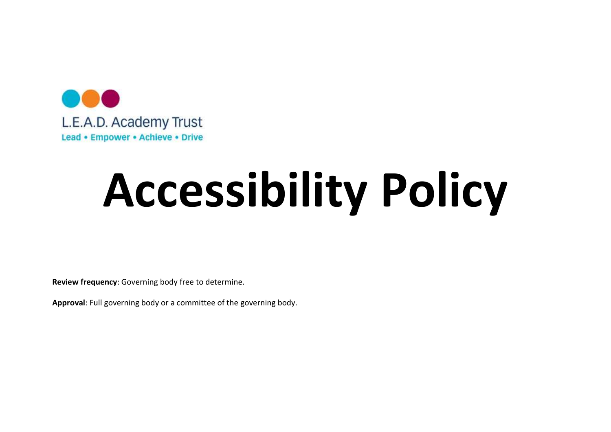

# Accessibility Policy

Review frequency: Governing body free to determine.

Approval: Full governing body or a committee of the governing body.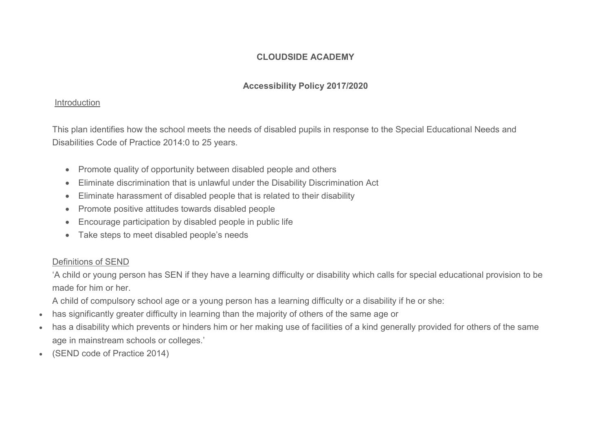## CLOUDSIDE ACADEMY

# Accessibility Policy 2017/2020

#### Introduction

This plan identifies how the school meets the needs of disabled pupils in response to the Special Educational Needs and Disabilities Code of Practice 2014:0 to 25 years.

- Promote quality of opportunity between disabled people and others
- Eliminate discrimination that is unlawful under the Disability Discrimination Act
- Eliminate harassment of disabled people that is related to their disability
- Promote positive attitudes towards disabled people
- Encourage participation by disabled people in public life
- Take steps to meet disabled people's needs

# Definitions of SEND

'A child or young person has SEN if they have a learning difficulty or disability which calls for special educational provision to be made for him or her.

- A child of compulsory school age or a young person has a learning difficulty or a disability if he or she:
- has significantly greater difficulty in learning than the majority of others of the same age or
- has a disability which prevents or hinders him or her making use of facilities of a kind generally provided for others of the same age in mainstream schools or colleges.'
- (SEND code of Practice 2014)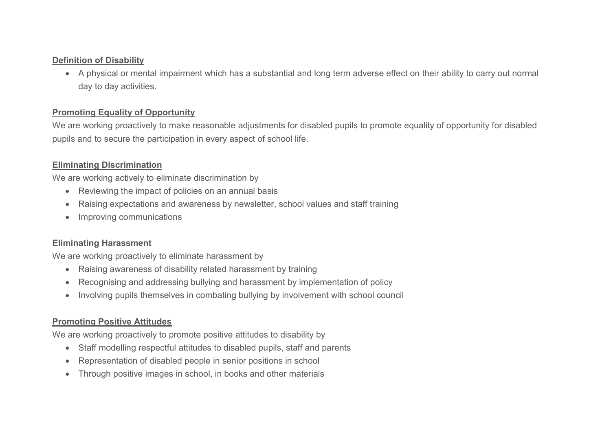#### Definition of Disability

 A physical or mental impairment which has a substantial and long term adverse effect on their ability to carry out normal day to day activities.

### Promoting Equality of Opportunity

We are working proactively to make reasonable adjustments for disabled pupils to promote equality of opportunity for disabled pupils and to secure the participation in every aspect of school life.

## Eliminating Discrimination

We are working actively to eliminate discrimination by

- Reviewing the impact of policies on an annual basis
- Raising expectations and awareness by newsletter, school values and staff training
- Improving communications

# Eliminating Harassment

We are working proactively to eliminate harassment by

- Raising awareness of disability related harassment by training
- Recognising and addressing bullying and harassment by implementation of policy
- Involving pupils themselves in combating bullying by involvement with school council

### Promoting Positive Attitudes

We are working proactively to promote positive attitudes to disability by

- Staff modelling respectful attitudes to disabled pupils, staff and parents
- Representation of disabled people in senior positions in school
- Through positive images in school, in books and other materials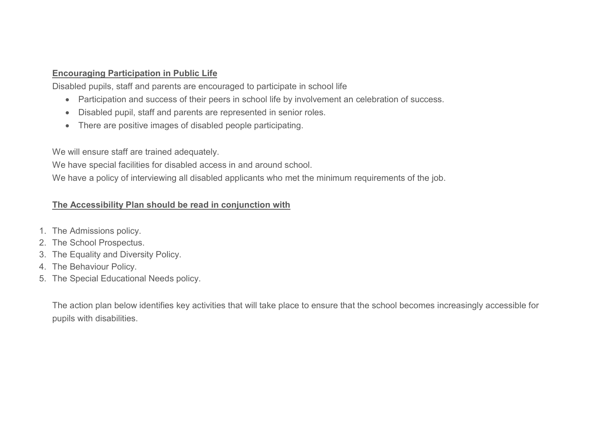#### Encouraging Participation in Public Life

Disabled pupils, staff and parents are encouraged to participate in school life

- Participation and success of their peers in school life by involvement an celebration of success.
- Disabled pupil, staff and parents are represented in senior roles.
- There are positive images of disabled people participating.

We will ensure staff are trained adequately.

We have special facilities for disabled access in and around school.

We have a policy of interviewing all disabled applicants who met the minimum requirements of the job.

# The Accessibility Plan should be read in conjunction with

- 1. The Admissions policy.
- 2. The School Prospectus.
- 3. The Equality and Diversity Policy.
- 4. The Behaviour Policy.
- 5. The Special Educational Needs policy.

The action plan below identifies key activities that will take place to ensure that the school becomes increasingly accessible for pupils with disabilities.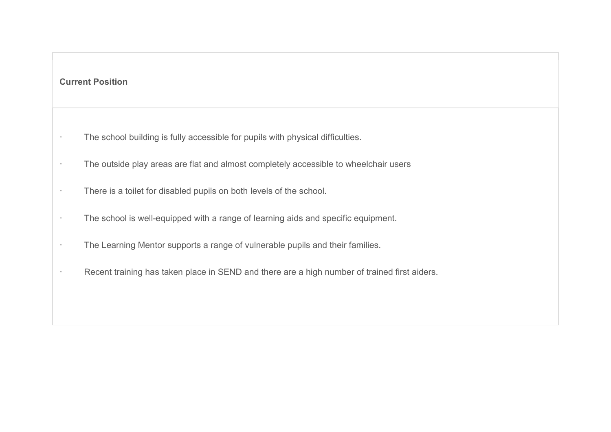# Current Position

- · The school building is fully accessible for pupils with physical difficulties.
- · The outside play areas are flat and almost completely accessible to wheelchair users
- · There is a toilet for disabled pupils on both levels of the school.
- · The school is well-equipped with a range of learning aids and specific equipment.
- · The Learning Mentor supports a range of vulnerable pupils and their families.
- · Recent training has taken place in SEND and there are a high number of trained first aiders.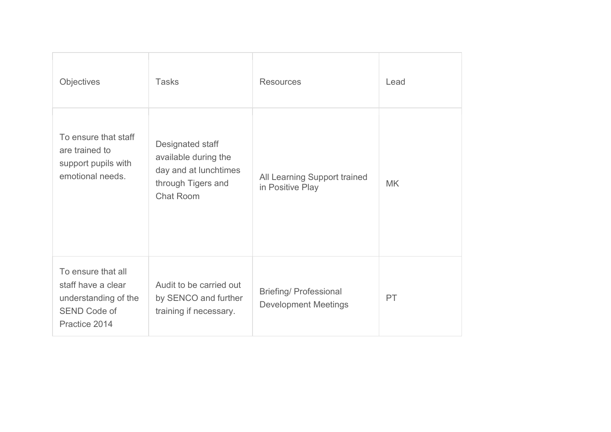| <b>Objectives</b>                                                                                        | <b>Tasks</b>                                                                                                | <b>Resources</b>                                             | Lead      |
|----------------------------------------------------------------------------------------------------------|-------------------------------------------------------------------------------------------------------------|--------------------------------------------------------------|-----------|
| To ensure that staff<br>are trained to<br>support pupils with<br>emotional needs.                        | Designated staff<br>available during the<br>day and at lunchtimes<br>through Tigers and<br><b>Chat Room</b> | All Learning Support trained<br>in Positive Play             | <b>MK</b> |
| To ensure that all<br>staff have a clear<br>understanding of the<br><b>SEND Code of</b><br>Practice 2014 | Audit to be carried out<br>by SENCO and further<br>training if necessary.                                   | <b>Briefing/ Professional</b><br><b>Development Meetings</b> | PT        |